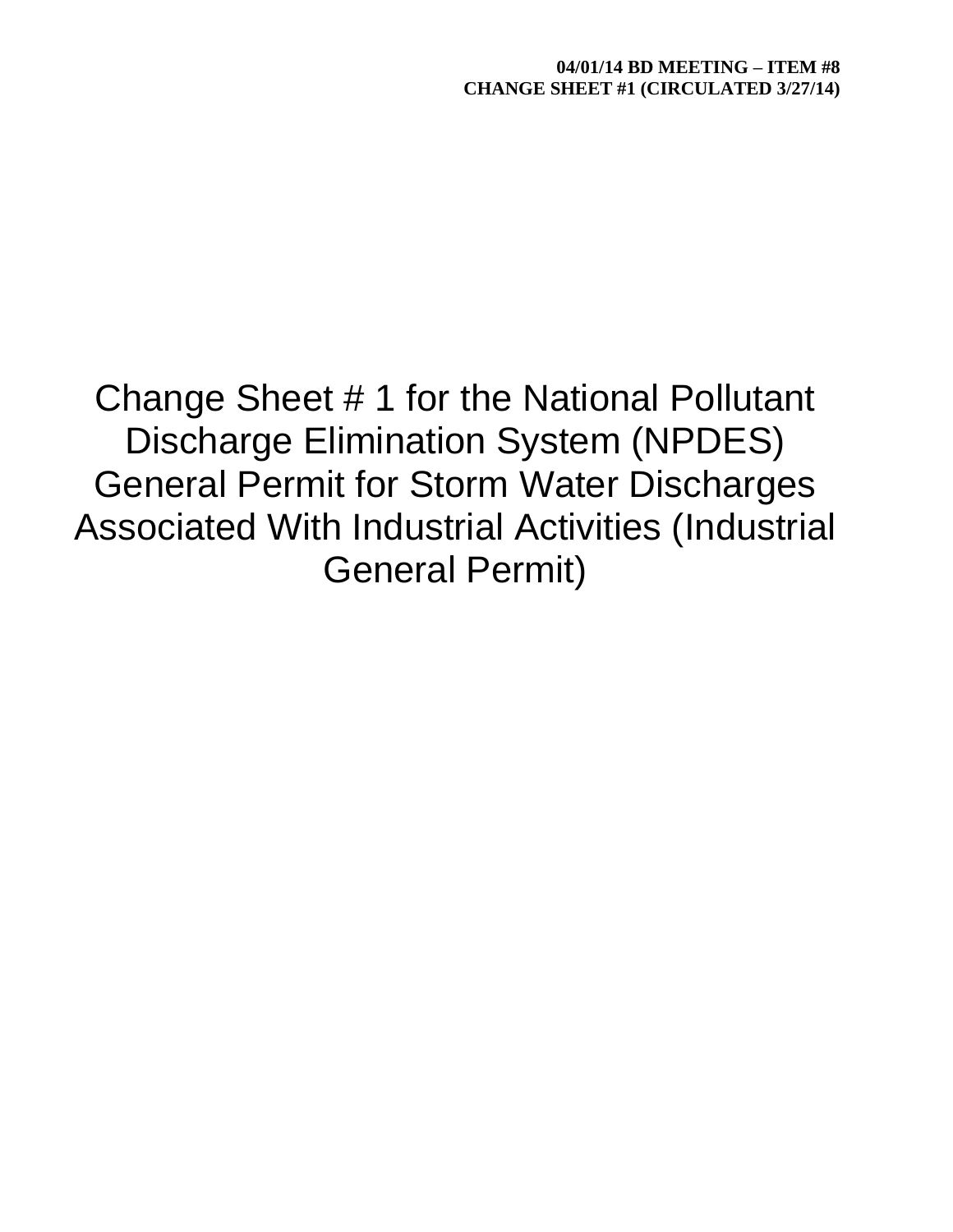Change Sheet # 1 for the National Pollutant Discharge Elimination System (NPDES) General Permit for Storm Water Discharges Associated With Industrial Activities (Industrial General Permit)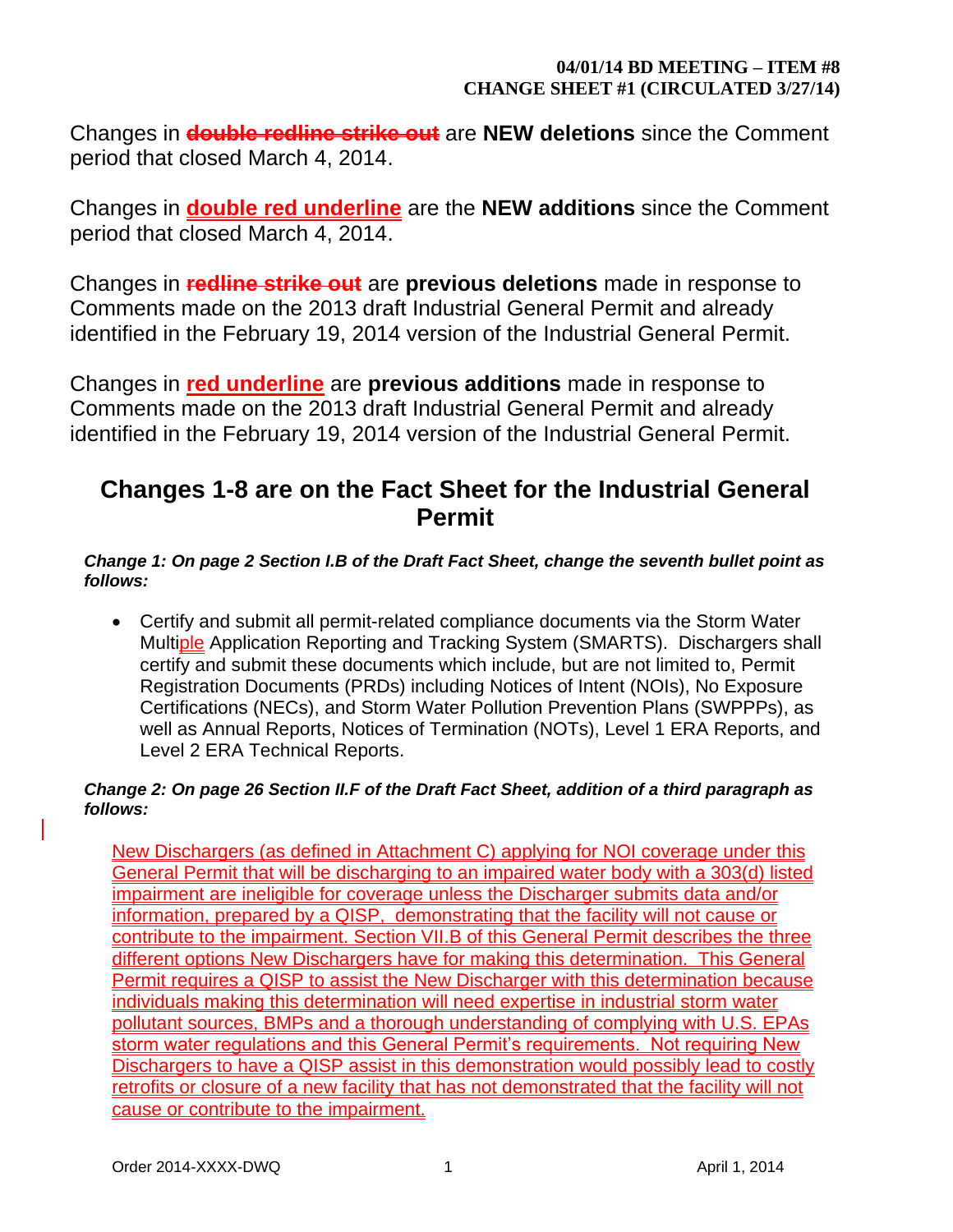Changes in **double redline strike out** are **NEW deletions** since the Comment period that closed March 4, 2014.

Changes in **double red underline** are the **NEW additions** since the Comment period that closed March 4, 2014.

Changes in **redline strike out** are **previous deletions** made in response to Comments made on the 2013 draft Industrial General Permit and already identified in the February 19, 2014 version of the Industrial General Permit.

Changes in **red underline** are **previous additions** made in response to Comments made on the 2013 draft Industrial General Permit and already identified in the February 19, 2014 version of the Industrial General Permit.

# **Changes 1-8 are on the Fact Sheet for the Industrial General Permit**

# *Change 1: On page 2 Section I.B of the Draft Fact Sheet, change the seventh bullet point as follows:*

 Certify and submit all permit-related compliance documents via the Storm Water Multiple Application Reporting and Tracking System (SMARTS). Dischargers shall certify and submit these documents which include, but are not limited to, Permit Registration Documents (PRDs) including Notices of Intent (NOIs), No Exposure Certifications (NECs), and Storm Water Pollution Prevention Plans (SWPPPs), as well as Annual Reports, Notices of Termination (NOTs), Level 1 ERA Reports, and Level 2 ERA Technical Reports.

# *Change 2: On page 26 Section II.F of the Draft Fact Sheet, addition of a third paragraph as follows:*

New Dischargers (as defined in Attachment C) applying for NOI coverage under this General Permit that will be discharging to an impaired water body with a 303(d) listed impairment are ineligible for coverage unless the Discharger submits data and/or information, prepared by a QISP, demonstrating that the facility will not cause or contribute to the impairment. Section VII.B of this General Permit describes the three different options New Dischargers have for making this determination. This General Permit requires a QISP to assist the New Discharger with this determination because individuals making this determination will need expertise in industrial storm water pollutant sources, BMPs and a thorough understanding of complying with U.S. EPAs storm water regulations and this General Permit's requirements. Not requiring New Dischargers to have a QISP assist in this demonstration would possibly lead to costly retrofits or closure of a new facility that has not demonstrated that the facility will not cause or contribute to the impairment.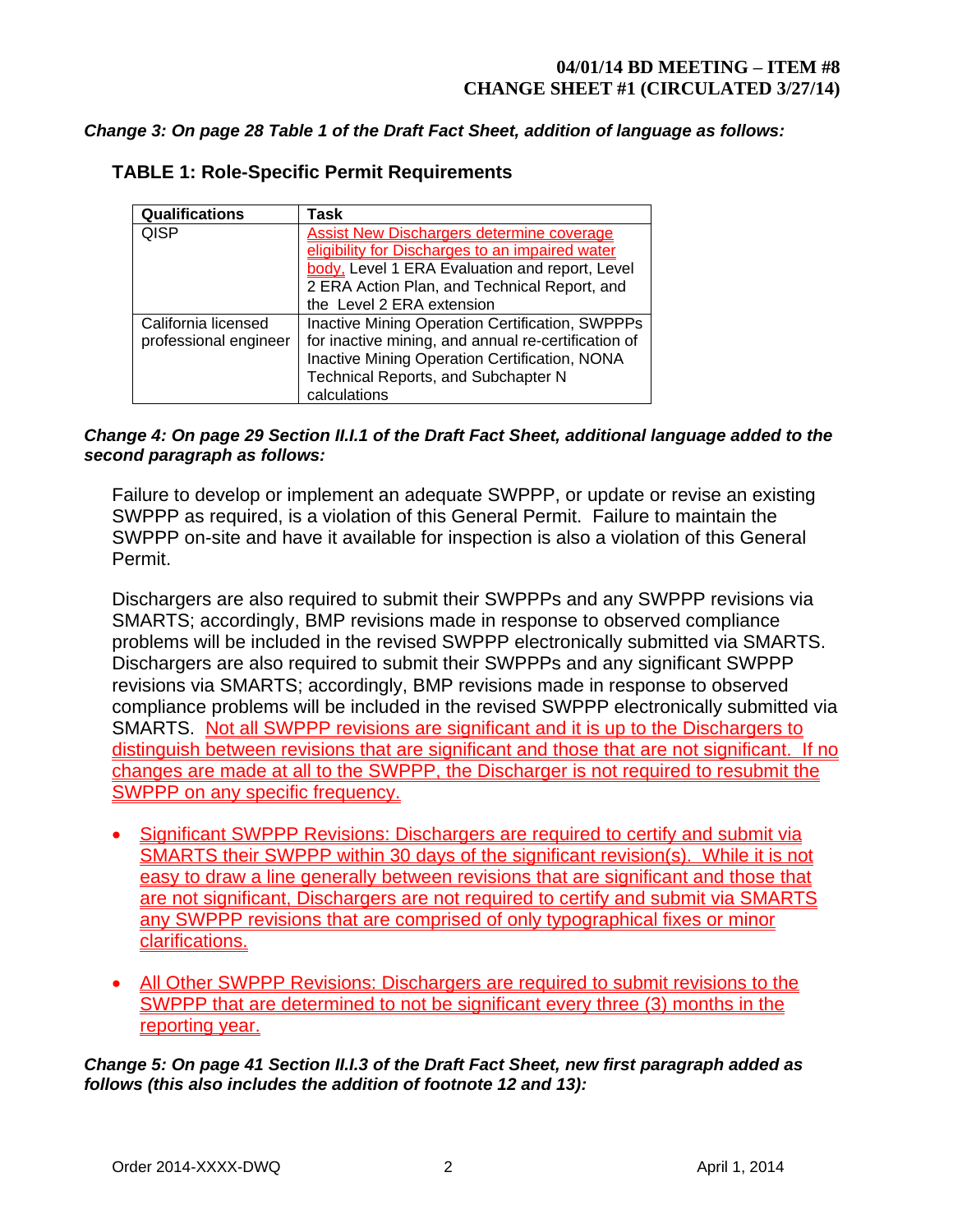### *Change 3: On page 28 Table 1 of the Draft Fact Sheet, addition of language as follows:*

| <b>Qualifications</b> | Task                                                   |
|-----------------------|--------------------------------------------------------|
| <b>QISP</b>           | <b>Assist New Dischargers determine coverage</b>       |
|                       | eligibility for Discharges to an impaired water        |
|                       | body, Level 1 ERA Evaluation and report, Level         |
|                       | 2 ERA Action Plan, and Technical Report, and           |
|                       | the Level 2 ERA extension                              |
| California licensed   | <b>Inactive Mining Operation Certification, SWPPPs</b> |
| professional engineer | for inactive mining, and annual re-certification of    |
|                       | Inactive Mining Operation Certification, NONA          |
|                       | Technical Reports, and Subchapter N                    |
|                       | calculations                                           |

# **TABLE 1: Role-Specific Permit Requirements**

### *Change 4: On page 29 Section II.I.1 of the Draft Fact Sheet, additional language added to the second paragraph as follows:*

Failure to develop or implement an adequate SWPPP, or update or revise an existing SWPPP as required, is a violation of this General Permit. Failure to maintain the SWPPP on-site and have it available for inspection is also a violation of this General Permit.

Dischargers are also required to submit their SWPPPs and any SWPPP revisions via SMARTS; accordingly, BMP revisions made in response to observed compliance problems will be included in the revised SWPPP electronically submitted via SMARTS. Dischargers are also required to submit their SWPPPs and any significant SWPPP revisions via SMARTS; accordingly, BMP revisions made in response to observed compliance problems will be included in the revised SWPPP electronically submitted via SMARTS. Not all SWPPP revisions are significant and it is up to the Dischargers to distinguish between revisions that are significant and those that are not significant. If no changes are made at all to the SWPPP, the Discharger is not required to resubmit the SWPPP on any specific frequency.

- Significant SWPPP Revisions: Dischargers are required to certify and submit via SMARTS their SWPPP within 30 days of the significant revision(s). While it is not easy to draw a line generally between revisions that are significant and those that are not significant, Dischargers are not required to certify and submit via SMARTS any SWPPP revisions that are comprised of only typographical fixes or minor clarifications.
- All Other SWPPP Revisions: Dischargers are required to submit revisions to the SWPPP that are determined to not be significant every three (3) months in the reporting year.

*Change 5: On page 41 Section II.I.3 of the Draft Fact Sheet, new first paragraph added as follows (this also includes the addition of footnote 12 and 13):*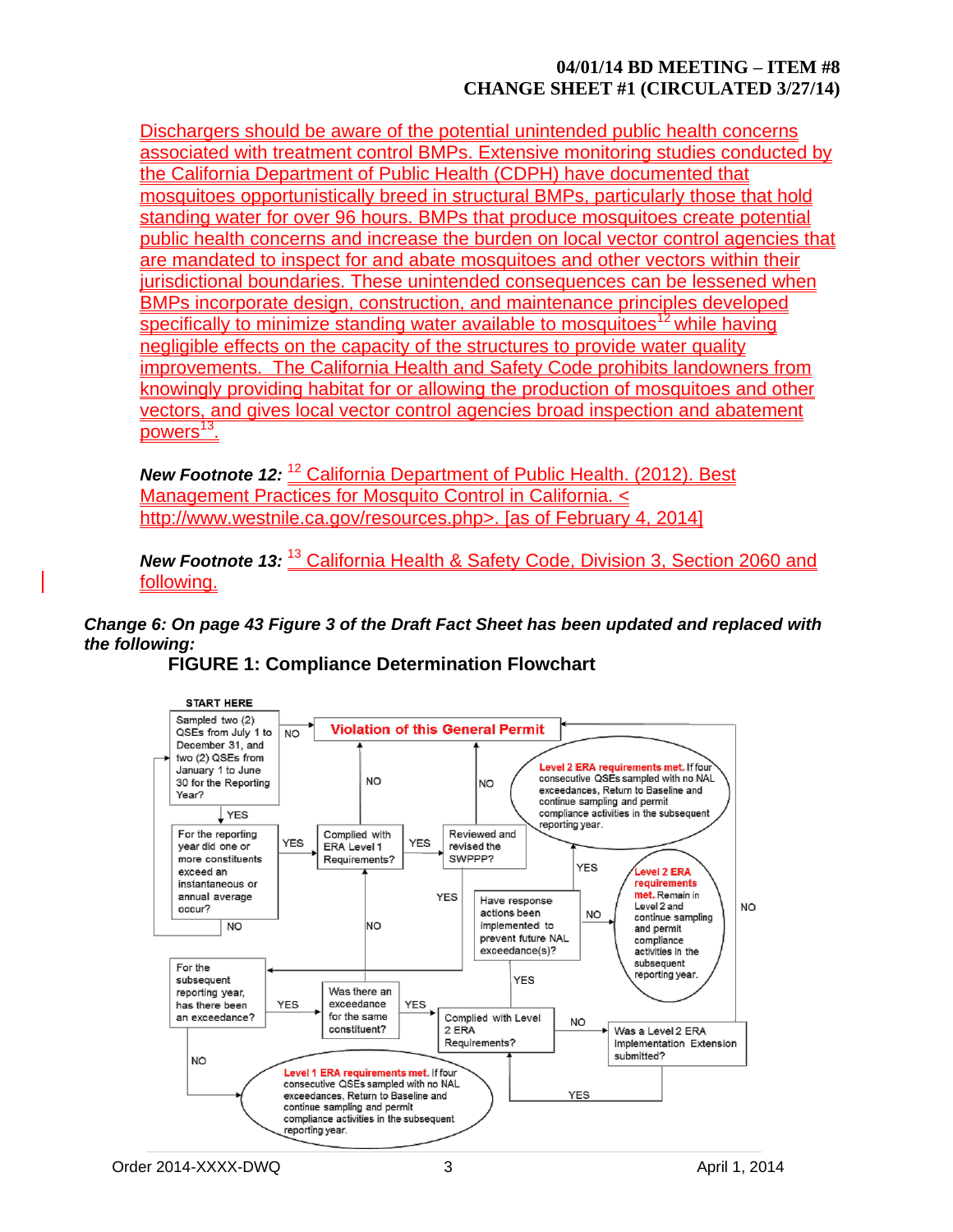Dischargers should be aware of the potential unintended public health concerns associated with treatment control BMPs. Extensive monitoring studies conducted by the California Department of Public Health (CDPH) have documented that mosquitoes opportunistically breed in structural BMPs, particularly those that hold standing water for over 96 hours. BMPs that produce mosquitoes create potential public health concerns and increase the burden on local vector control agencies that are mandated to inspect for and abate mosquitoes and other vectors within their jurisdictional boundaries. These unintended consequences can be lessened when BMPs incorporate design, construction, and maintenance principles developed specifically to minimize standing water available to mosquitoes<sup>12</sup> while having negligible effects on the capacity of the structures to provide water quality improvements. The California Health and Safety Code prohibits landowners from knowingly providing habitat for or allowing the production of mosquitoes and other vectors, and gives local vector control agencies broad inspection and abatement powers<sup>13</sup>.

New Footnote 12: <sup>12</sup> California Department of Public Health. (2012). Best Management Practices for Mosquito Control in California. < [http://www.westnile.ca.gov/resources.php>](http://www.westnile.ca.gov/resources.php). [as of February 4, 2014]

*New Footnote 13:* <sup>13</sup> California Health & Safety Code, Division 3, Section 2060 and following.

*Change 6: On page 43 Figure 3 of the Draft Fact Sheet has been updated and replaced with the following:*



# **FIGURE 1: Compliance Determination Flowchart**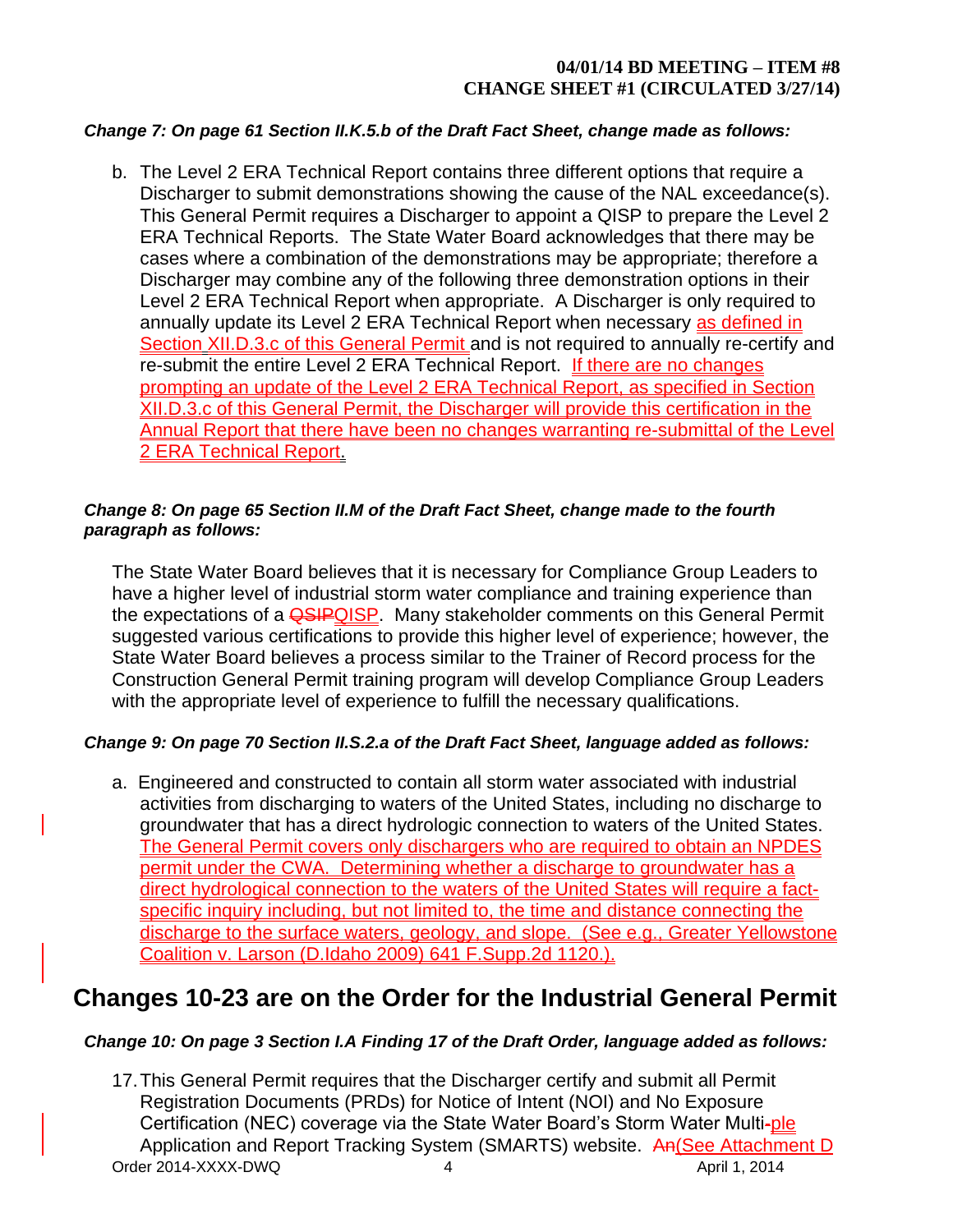### *Change 7: On page 61 Section II.K.5.b of the Draft Fact Sheet, change made as follows:*

b. The Level 2 ERA Technical Report contains three different options that require a Discharger to submit demonstrations showing the cause of the NAL exceedance(s). This General Permit requires a Discharger to appoint a QISP to prepare the Level 2 ERA Technical Reports. The State Water Board acknowledges that there may be cases where a combination of the demonstrations may be appropriate; therefore a Discharger may combine any of the following three demonstration options in their Level 2 ERA Technical Report when appropriate. A Discharger is only required to annually update its Level 2 ERA Technical Report when necessary as defined in Section XII.D.3.c of this General Permit and is not required to annually re-certify and re-submit the entire Level 2 ERA Technical Report. If there are no changes prompting an update of the Level 2 ERA Technical Report, as specified in Section XII.D.3.c of this General Permit, the Discharger will provide this certification in the Annual Report that there have been no changes warranting re-submittal of the Level 2 ERA Technical Report.

#### *Change 8: On page 65 Section II.M of the Draft Fact Sheet, change made to the fourth paragraph as follows:*

The State Water Board believes that it is necessary for Compliance Group Leaders to have a higher level of industrial storm water compliance and training experience than the expectations of a **QSIPQISP**. Many stakeholder comments on this General Permit suggested various certifications to provide this higher level of experience; however, the State Water Board believes a process similar to the Trainer of Record process for the Construction General Permit training program will develop Compliance Group Leaders with the appropriate level of experience to fulfill the necessary qualifications.

# *Change 9: On page 70 Section II.S.2.a of the Draft Fact Sheet, language added as follows:*

a. Engineered and constructed to contain all storm water associated with industrial activities from discharging to waters of the United States, including no discharge to groundwater that has a direct hydrologic connection to waters of the United States. The General Permit covers only dischargers who are required to obtain an NPDES permit under the CWA. Determining whether a discharge to groundwater has a direct hydrological connection to the waters of the United States will require a factspecific inquiry including, but not limited to, the time and distance connecting the discharge to the surface waters, geology, and slope. (See e.g., Greater Yellowstone Coalition v. Larson (D.Idaho 2009) 641 F.Supp.2d 1120.).

# **Changes 10-23 are on the Order for the Industrial General Permit**

# *Change 10: On page 3 Section I.A Finding 17 of the Draft Order, language added as follows:*

Order 2014-XXXX-DWQ 4 April 1, 2014 17.This General Permit requires that the Discharger certify and submit all Permit Registration Documents (PRDs) for Notice of Intent (NOI) and No Exposure Certification (NEC) coverage via the State Water Board's Storm Water Multi-ple Application and Report Tracking System (SMARTS) website. An(See Attachment D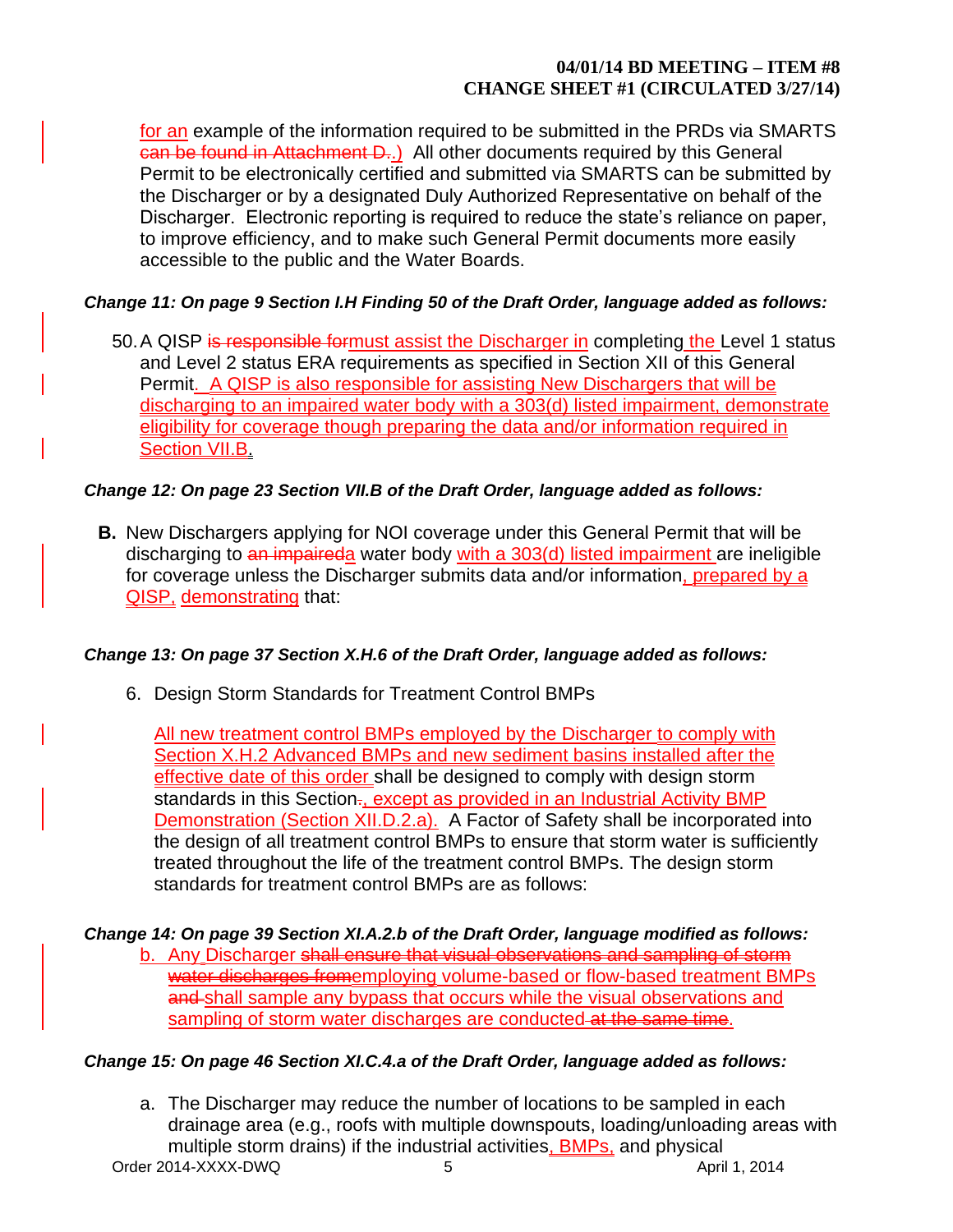for an example of the information required to be submitted in the PRDs via SMARTS can be found in Attachment D..) All other documents required by this General Permit to be electronically certified and submitted via SMARTS can be submitted by the Discharger or by a designated Duly Authorized Representative on behalf of the Discharger. Electronic reporting is required to reduce the state's reliance on paper, to improve efficiency, and to make such General Permit documents more easily accessible to the public and the Water Boards.

# *Change 11: On page 9 Section I.H Finding 50 of the Draft Order, language added as follows:*

50. A QISP is responsible formust assist the Discharger in completing the Level 1 status and Level 2 status ERA requirements as specified in Section XII of this General Permit. A QISP is also responsible for assisting New Dischargers that will be discharging to an impaired water body with a 303(d) listed impairment, demonstrate eligibility for coverage though preparing the data and/or information required in Section VII.B.

# *Change 12: On page 23 Section VII.B of the Draft Order, language added as follows:*

**B.** New Dischargers applying for NOI coverage under this General Permit that will be discharging to an impaireda water body with a 303(d) listed impairment are ineligible for coverage unless the Discharger submits data and/or information, prepared by a QISP, demonstrating that:

# *Change 13: On page 37 Section X.H.6 of the Draft Order, language added as follows:*

6. Design Storm Standards for Treatment Control BMPs

All new treatment control BMPs employed by the Discharger to comply with Section X.H.2 Advanced BMPs and new sediment basins installed after the effective date of this order shall be designed to comply with design storm standards in this Section-, except as provided in an Industrial Activity BMP Demonstration (Section XII.D.2.a). A Factor of Safety shall be incorporated into the design of all treatment control BMPs to ensure that storm water is sufficiently treated throughout the life of the treatment control BMPs. The design storm standards for treatment control BMPs are as follows:

*Change 14: On page 39 Section XI.A.2.b of the Draft Order, language modified as follows:* b. Any Discharger shall ensure that visual observations and sampling of storm water discharges fromemploying volume-based or flow-based treatment BMPs and shall sample any bypass that occurs while the visual observations and sampling of storm water discharges are conducted at the same time.

# *Change 15: On page 46 Section XI.C.4.a of the Draft Order, language added as follows:*

Order 2014-XXXX-DWQ 5 April 1, 2014 a. The Discharger may reduce the number of locations to be sampled in each drainage area (e.g., roofs with multiple downspouts, loading/unloading areas with multiple storm drains) if the industrial activities, **BMPs**, and physical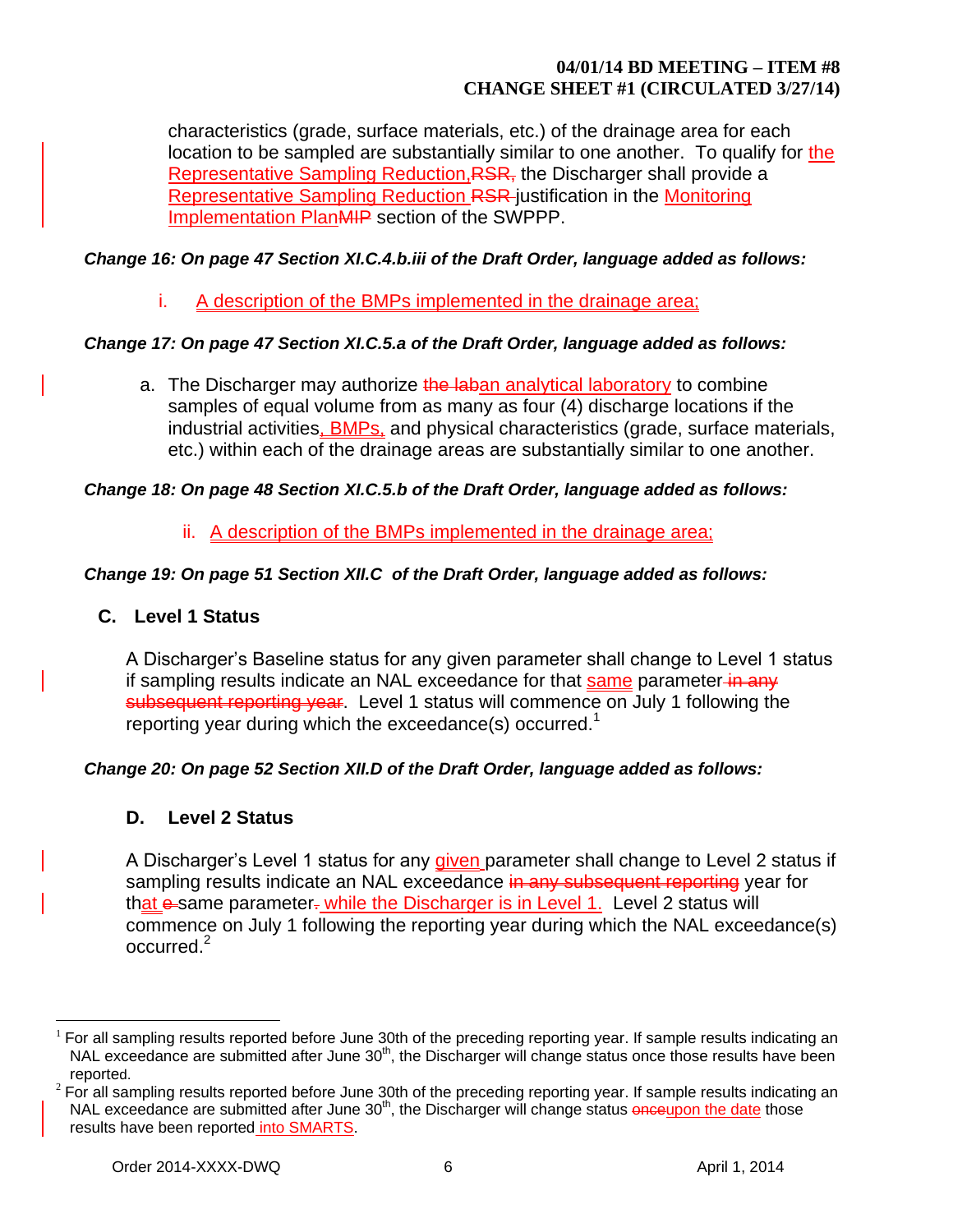characteristics (grade, surface materials, etc.) of the drainage area for each location to be sampled are substantially similar to one another. To qualify for the Representative Sampling Reduction, RSR, the Discharger shall provide a Representative Sampling Reduction RSR justification in the Monitoring Implementation PlanMIP section of the SWPPP.

## *Change 16: On page 47 Section XI.C.4.b.iii of the Draft Order, language added as follows:*

i. A description of the BMPs implemented in the drainage area;

### *Change 17: On page 47 Section XI.C.5.a of the Draft Order, language added as follows:*

a. The Discharger may authorize the laban analytical laboratory to combine samples of equal volume from as many as four (4) discharge locations if the industrial activities, **BMPs**, and physical characteristics (grade, surface materials, etc.) within each of the drainage areas are substantially similar to one another.

#### *Change 18: On page 48 Section XI.C.5.b of the Draft Order, language added as follows:*

ii. A description of the BMPs implemented in the drainage area;

# *Change 19: On page 51 Section XII.C of the Draft Order, language added as follows:*

# **C. Level 1 Status**

A Discharger's Baseline status for any given parameter shall change to Level 1 status if sampling results indicate an NAL exceedance for that same parameter in any subsequent reporting year. Level 1 status will commence on July 1 following the reporting year during which the exceedance(s) occurred.<sup>1</sup>

# *Change 20: On page 52 Section XII.D of the Draft Order, language added as follows:*

# **D. Level 2 Status**

A Discharger's Level 1 status for any *given* parameter shall change to Level 2 status if sampling results indicate an NAL exceedance in any subsequent reporting year for that  $e$ -same parameter. while the Discharger is in Level 1. Level 2 status will commence on July 1 following the reporting year during which the NAL exceedance(s)  $\alpha$ ccurred.<sup>2</sup>

 $\overline{a}$ 

 $1$  For all sampling results reported before June 30th of the preceding reporting year. If sample results indicating an NAL exceedance are submitted after June  $30<sup>th</sup>$ , the Discharger will change status once those results have been reported.

 $2$  For all sampling results reported before June 30th of the preceding reporting year. If sample results indicating an NAL exceedance are submitted after June 30<sup>th</sup>, the Discharger will change status **onceupon the date** those results have been reported into SMARTS.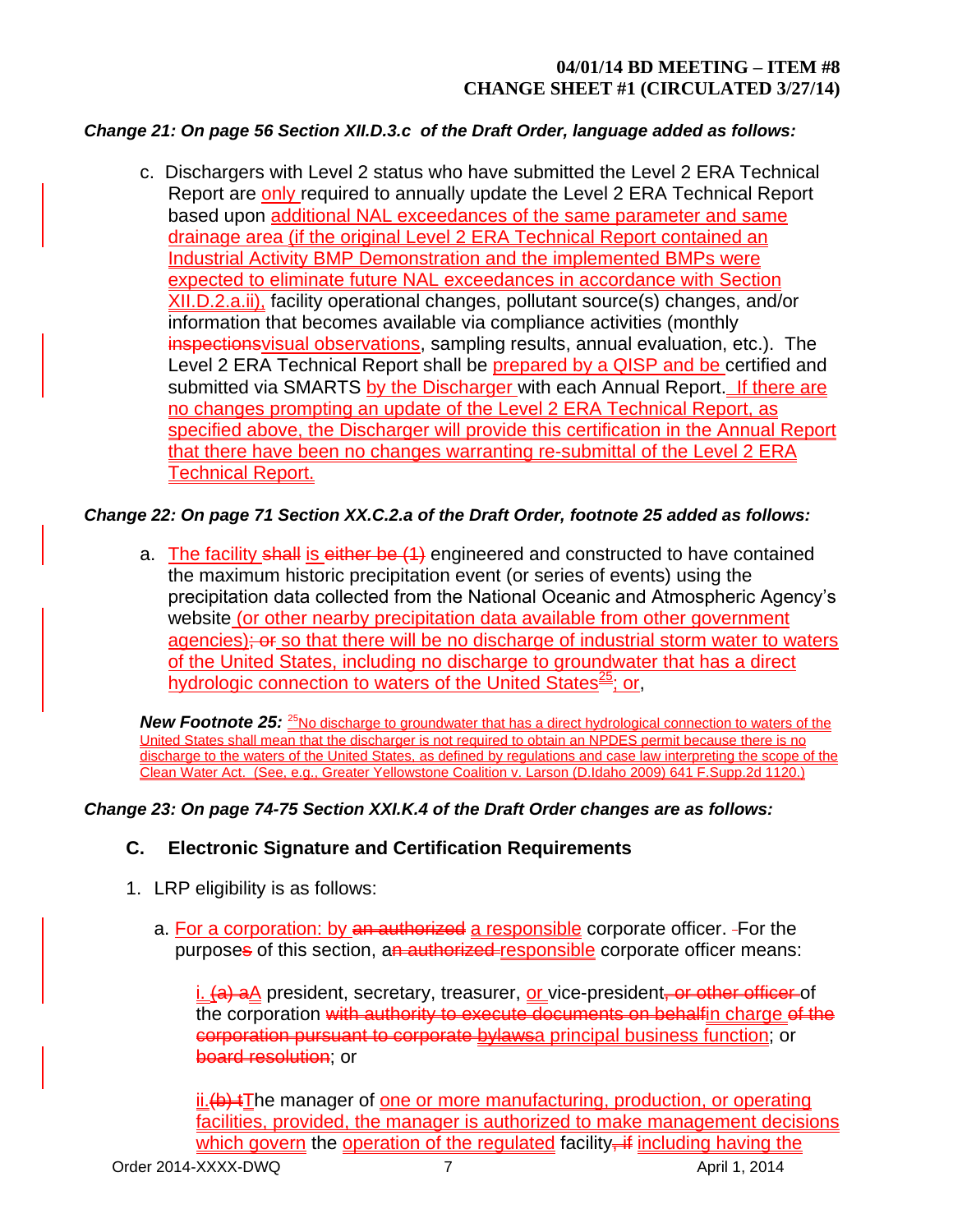## *Change 21: On page 56 Section XII.D.3.c of the Draft Order, language added as follows:*

c. Dischargers with Level 2 status who have submitted the Level 2 ERA Technical Report are only required to annually update the Level 2 ERA Technical Report based upon additional NAL exceedances of the same parameter and same drainage area (if the original Level 2 ERA Technical Report contained an Industrial Activity BMP Demonstration and the implemented BMPs were expected to eliminate future NAL exceedances in accordance with Section XII.D.2.a.ii), facility operational changes, pollutant source(s) changes, and/or information that becomes available via compliance activities (monthly inspectionsvisual observations, sampling results, annual evaluation, etc.). The Level 2 ERA Technical Report shall be prepared by a QISP and be certified and submitted via SMARTS by the Discharger with each Annual Report. If there are no changes prompting an update of the Level 2 ERA Technical Report, as specified above, the Discharger will provide this certification in the Annual Report that there have been no changes warranting re-submittal of the Level 2 ERA **Technical Report.** 

#### *Change 22: On page 71 Section XX.C.2.a of the Draft Order, footnote 25 added as follows:*

a. The facility shall is either be (1) engineered and constructed to have contained the maximum historic precipitation event (or series of events) using the precipitation data collected from the National Oceanic and Atmospheric Agency's website (or other nearby precipitation data available from other government agencies); or so that there will be no discharge of industrial storm water to waters of the United States, including no discharge to groundwater that has a direct hydrologic connection to waters of the United States<sup>25</sup>; or,

*New Footnote 25:* <sup>25</sup>No discharge to groundwater that has a direct hydrological connection to waters of the United States shall mean that the discharger is not required to obtain an NPDES permit because there is no discharge to the waters of the United States, as defined by regulations and case law interpreting the scope of the Clean Water Act. (See, e.g., Greater Yellowstone Coalition v. Larson (D.Idaho 2009) 641 F.Supp.2d 1120.)

#### *Change 23: On page 74-75 Section XXI.K.4 of the Draft Order changes are as follows:*

# **C. Electronic Signature and Certification Requirements**

- 1. LRP eligibility is as follows:
	- a. For a corporation: by an authorized a responsible corporate officer. For the purposes of this section, an authorized responsible corporate officer means:

i. (a) aA president, secretary, treasurer, or vice-president<del>, or other officer</del> of the corporation with authority to execute documents on behalfin charge of the corporation pursuant to corporate bylawsa principal business function; or board resolution; or

 $ii.$   $\leftrightarrow$  The manager of one or more manufacturing, production, or operating facilities, provided, the manager is authorized to make management decisions which govern the operation of the regulated facility $\frac{1}{x}$  including having the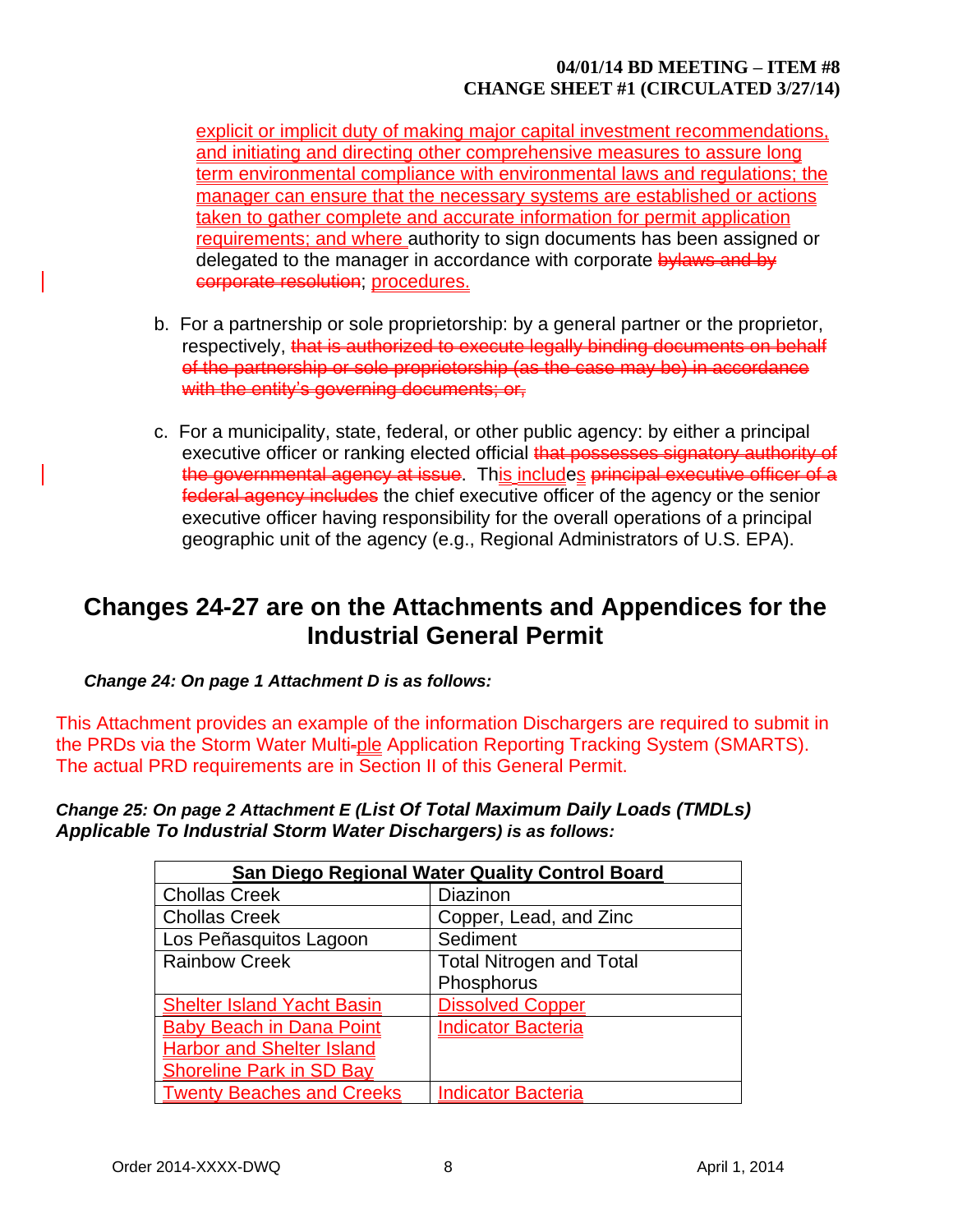explicit or implicit duty of making major capital investment recommendations, and initiating and directing other comprehensive measures to assure long term environmental compliance with environmental laws and regulations; the manager can ensure that the necessary systems are established or actions taken to gather complete and accurate information for permit application requirements; and where authority to sign documents has been assigned or delegated to the manager in accordance with corporate bylaws and by corporate resolution; procedures.

- b. For a partnership or sole proprietorship: by a general partner or the proprietor, respectively, that is authorized to execute legally binding documents on behalf of the partnership or sole proprietorship (as the case may be) in accordance with the entity's governing documents; or,
- c. For a municipality, state, federal, or other public agency: by either a principal executive officer or ranking elected official that possesses signatory authority of the governmental agency at issue. This includes principal executive officer of a federal agency includes the chief executive officer of the agency or the senior executive officer having responsibility for the overall operations of a principal geographic unit of the agency (e.g., Regional Administrators of U.S. EPA).

# **Changes 24-27 are on the Attachments and Appendices for the Industrial General Permit**

*Change 24: On page 1 Attachment D is as follows:*

This Attachment provides an example of the information Dischargers are required to submit in the PRDs via the Storm Water Multi-ple Application Reporting Tracking System (SMARTS). The actual PRD requirements are in Section II of this General Permit.

*Change 25: On page 2 Attachment E (List Of Total Maximum Daily Loads (TMDLs) Applicable To Industrial Storm Water Dischargers) is as follows:*

| <b>San Diego Regional Water Quality Control Board</b> |                                 |  |
|-------------------------------------------------------|---------------------------------|--|
| <b>Chollas Creek</b>                                  | Diazinon                        |  |
| <b>Chollas Creek</b>                                  | Copper, Lead, and Zinc          |  |
| Los Peñasquitos Lagoon                                | Sediment                        |  |
| <b>Rainbow Creek</b>                                  | <b>Total Nitrogen and Total</b> |  |
|                                                       | Phosphorus                      |  |
| <b>Shelter Island Yacht Basin</b>                     | <b>Dissolved Copper</b>         |  |
| <b>Baby Beach in Dana Point</b>                       | <b>Indicator Bacteria</b>       |  |
| <b>Harbor and Shelter Island</b>                      |                                 |  |
| <b>Shoreline Park in SD Bay</b>                       |                                 |  |
| <b>Twenty Beaches and Creeks</b>                      | <b>Indicator Bacteria</b>       |  |